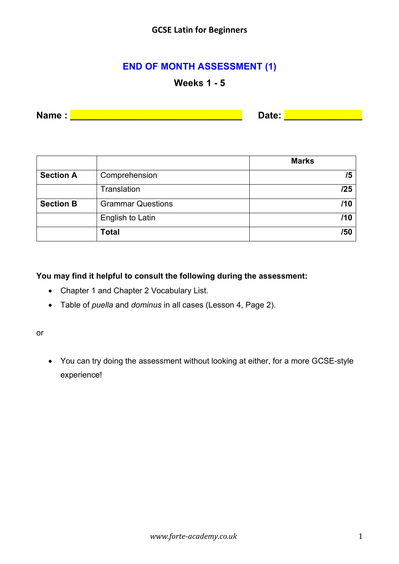# **END OF MONTH ASSESSMENT (1)**

## **Weeks 1 - 5**

**Name :** <u>**Name :** *Name* **Example Example Date: Date: Date: EXAMPLE EXAMPLE EXAMPLE EXAMPLE EXAMPLE EXAMPLE EXAMPLE**</u>

|                  |                          | <b>Marks</b> |
|------------------|--------------------------|--------------|
| <b>Section A</b> | Comprehension            | /5           |
|                  | Translation              | /25          |
| <b>Section B</b> | <b>Grammar Questions</b> | /10          |
|                  | English to Latin         | /10          |
|                  | <b>Total</b>             | /50          |

**You may find it helpful to consult the following during the assessment:**

- Chapter 1 and Chapter 2 Vocabulary List.
- Table of *puella* and *dominus* in all cases (Lesson 4, Page 2).

or

• You can try doing the assessment without looking at either, for a more GCSE-style experience!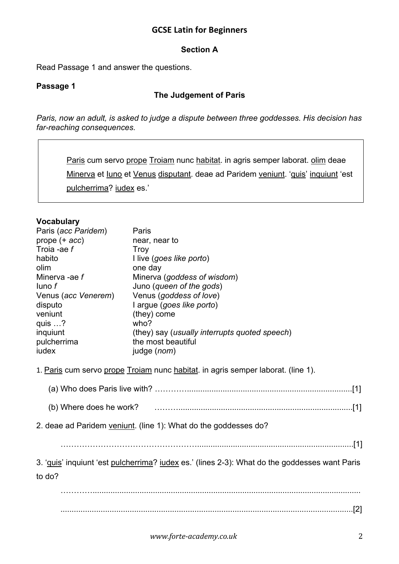#### **Section A**

Read Passage 1 and answer the questions.

## **Passage 1**

## **The Judgement of Paris**

*Paris, now an adult, is asked to judge a dispute between three goddesses. His decision has far-reaching consequences.*

Paris cum servo prope Troiam nunc habitat. in agris semper laborat. olim deae Minerva et Iuno et Venus disputant. deae ad Paridem veniunt. 'quis' inquiunt 'est pulcherrima? iudex es.'

#### **Vocabulary**

| ,<br>Paris (acc Paridem) | Paris                                                                                         |
|--------------------------|-----------------------------------------------------------------------------------------------|
| prope $(+$ acc)          | near, near to                                                                                 |
| Troia -ae f              | <b>Troy</b>                                                                                   |
| habito                   | I live (goes like porto)                                                                      |
| olim                     | one day                                                                                       |
| Minerva -ae f            | Minerva (goddess of wisdom)                                                                   |
| $l$ uno $f$              | Juno (queen of the gods)                                                                      |
| Venus (acc Venerem)      | Venus (goddess of love)                                                                       |
| disputo                  | I argue (goes like porto)                                                                     |
| veniunt                  | (they) come                                                                                   |
| quis ?                   | who?                                                                                          |
| inquiunt                 | (they) say (usually interrupts quoted speech)                                                 |
| pulcherrima              | the most beautiful                                                                            |
| iudex                    | judge (nom)                                                                                   |
|                          | 1. Paris cum servo prope Troiam nunc habitat. in agris semper laborat. (line 1).              |
|                          |                                                                                               |
|                          | 2. deae ad Paridem veniunt. (line 1): What do the goddesses do?                               |
|                          |                                                                                               |
|                          | 3. 'quis' inquiunt 'est pulcherrima? judex es.' (lines 2-3): What do the goddesses want Paris |
| to do?                   |                                                                                               |
|                          |                                                                                               |
|                          |                                                                                               |
|                          |                                                                                               |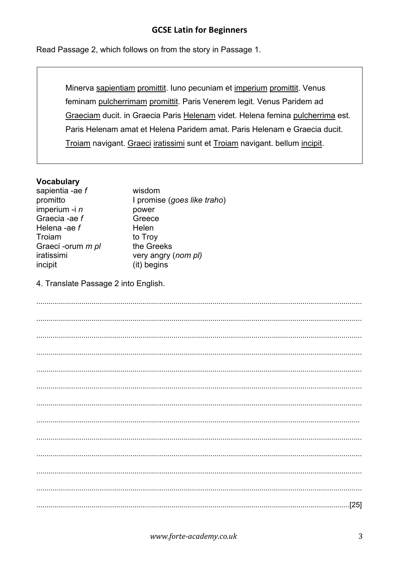Read Passage 2, which follows on from the story in Passage 1.

Minerva sapientiam promittit. Iuno pecuniam et imperium promittit. Venus feminam pulcherrimam promittit. Paris Venerem legit. Venus Paridem ad Graeciam ducit. in Graecia Paris Helenam videt. Helena femina pulcherrima est. Paris Helenam amat et Helena Paridem amat. Paris Helenam e Graecia ducit. Troiam navigant. Graeci iratissimi sunt et Troiam navigant. bellum incipit.

#### **Vocabulary**

| sapientia -ae f          | wisdom                      |
|--------------------------|-----------------------------|
| promitto                 | I promise (goes like traho) |
| imperium -i n            | power                       |
| Graecia -ae f            | Greece                      |
| Helena -ae f             | Helen                       |
| Troiam                   | to Troy                     |
| Graeci -orum <i>m pl</i> | the Greeks                  |
| iratissimi               | very angry (nom pl)         |
| incipit                  | (it) begins                 |
|                          |                             |

4. Translate Passage 2 into English.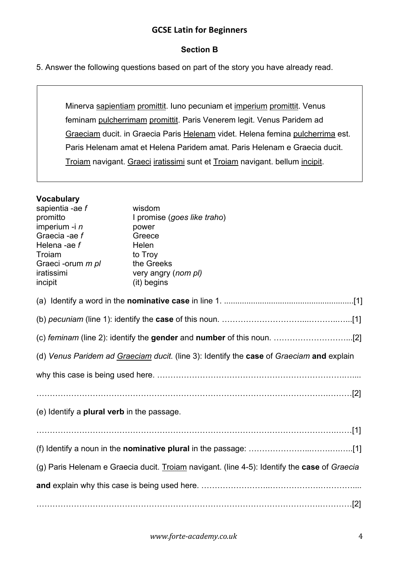### **Section B**

5. Answer the following questions based on part of the story you have already read.

Minerva sapientiam promittit. Iuno pecuniam et imperium promittit. Venus feminam pulcherrimam promittit. Paris Venerem legit. Venus Paridem ad Graeciam ducit. in Graecia Paris Helenam videt. Helena femina pulcherrima est. Paris Helenam amat et Helena Paridem amat. Paris Helenam e Graecia ducit. Troiam navigant. Graeci iratissimi sunt et Troiam navigant. bellum incipit.

#### **Vocabulary**

| sapientia -ae f<br>promitto<br>imperium -i n<br>Graecia -ae f<br>Helena -ae f<br>Troiam<br>Graeci -orum <i>m pl</i><br>iratissimi | wisdom<br>I promise (goes like traho)<br>power<br>Greece<br>Helen<br>to Troy<br>the Greeks<br>very angry (nom pl) |  |  |  |
|-----------------------------------------------------------------------------------------------------------------------------------|-------------------------------------------------------------------------------------------------------------------|--|--|--|
| incipit                                                                                                                           | (it) begins                                                                                                       |  |  |  |
|                                                                                                                                   |                                                                                                                   |  |  |  |
|                                                                                                                                   |                                                                                                                   |  |  |  |
|                                                                                                                                   |                                                                                                                   |  |  |  |
| (d) Venus Paridem ad Graeciam ducit. (line 3): Identify the case of Graeciam and explain                                          |                                                                                                                   |  |  |  |
|                                                                                                                                   |                                                                                                                   |  |  |  |
|                                                                                                                                   |                                                                                                                   |  |  |  |
| (e) Identify a <b>plural verb</b> in the passage.                                                                                 |                                                                                                                   |  |  |  |
|                                                                                                                                   |                                                                                                                   |  |  |  |
|                                                                                                                                   |                                                                                                                   |  |  |  |
|                                                                                                                                   | (g) Paris Helenam e Graecia ducit. Troiam navigant. (line 4-5): Identify the case of Graecia                      |  |  |  |
|                                                                                                                                   |                                                                                                                   |  |  |  |
|                                                                                                                                   |                                                                                                                   |  |  |  |
|                                                                                                                                   |                                                                                                                   |  |  |  |